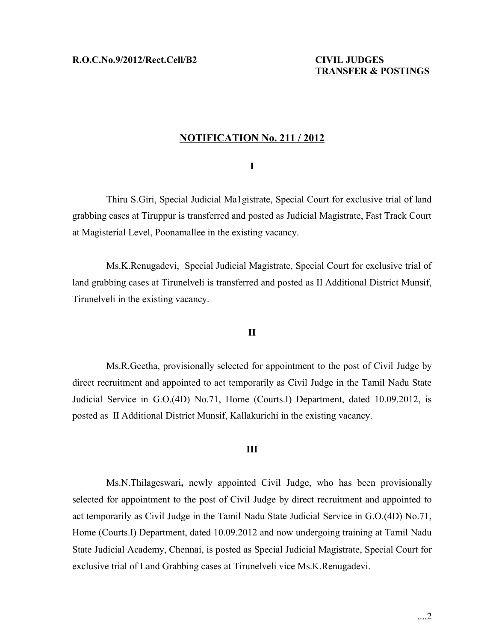# **NOTIFICATION No. 211 / 2012**

### **I**

Thiru S.Giri, Special Judicial Ma1gistrate, Special Court for exclusive trial of land grabbing cases at Tiruppur is transferred and posted as Judicial Magistrate, Fast Track Court at Magisterial Level, Poonamallee in the existing vacancy.

Ms.K.Renugadevi, Special Judicial Magistrate, Special Court for exclusive trial of land grabbing cases at Tirunelveli is transferred and posted as II Additional District Munsif, Tirunelveli in the existing vacancy.

### **II**

Ms.R.Geetha, provisionally selected for appointment to the post of Civil Judge by direct recruitment and appointed to act temporarily as Civil Judge in the Tamil Nadu State Judicial Service in G.O.(4D) No.71, Home (Courts.I) Department, dated 10.09.2012, is posted as II Additional District Munsif, Kallakurichi in the existing vacancy.

#### **III**

Ms.N.Thilageswari**,** newly appointed Civil Judge, who has been provisionally selected for appointment to the post of Civil Judge by direct recruitment and appointed to act temporarily as Civil Judge in the Tamil Nadu State Judicial Service in G.O.(4D) No.71, Home (Courts.I) Department, dated 10.09.2012 and now undergoing training at Tamil Nadu State Judicial Academy, Chennai, is posted as Special Judicial Magistrate, Special Court for exclusive trial of Land Grabbing cases at Tirunelveli vice Ms.K.Renugadevi.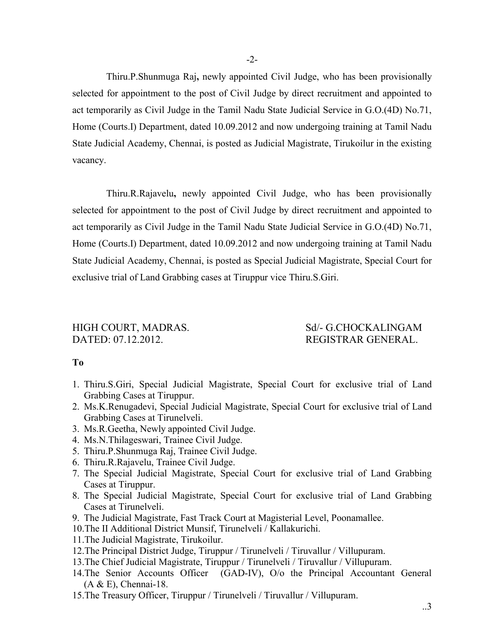Thiru.P.Shunmuga Raj**,** newly appointed Civil Judge, who has been provisionally selected for appointment to the post of Civil Judge by direct recruitment and appointed to act temporarily as Civil Judge in the Tamil Nadu State Judicial Service in G.O.(4D) No.71, Home (Courts.I) Department, dated 10.09.2012 and now undergoing training at Tamil Nadu State Judicial Academy, Chennai, is posted as Judicial Magistrate, Tirukoilur in the existing vacancy.

Thiru.R.Rajavelu**,** newly appointed Civil Judge, who has been provisionally selected for appointment to the post of Civil Judge by direct recruitment and appointed to act temporarily as Civil Judge in the Tamil Nadu State Judicial Service in G.O.(4D) No.71, Home (Courts.I) Department, dated 10.09.2012 and now undergoing training at Tamil Nadu State Judicial Academy, Chennai, is posted as Special Judicial Magistrate, Special Court for exclusive trial of Land Grabbing cases at Tiruppur vice Thiru.S.Giri.

# DATED: 07.12.2012. REGISTRAR GENERAL.

# HIGH COURT, MADRAS. Sd/- G.CHOCKALINGAM

## **To**

- 1. Thiru.S.Giri, Special Judicial Magistrate, Special Court for exclusive trial of Land Grabbing Cases at Tiruppur.
- 2. Ms.K.Renugadevi, Special Judicial Magistrate, Special Court for exclusive trial of Land Grabbing Cases at Tirunelveli.
- 3. Ms.R.Geetha, Newly appointed Civil Judge.
- 4. Ms.N.Thilageswari, Trainee Civil Judge.
- 5. Thiru.P.Shunmuga Raj, Trainee Civil Judge.
- 6. Thiru.R.Rajavelu, Trainee Civil Judge.
- 7. The Special Judicial Magistrate, Special Court for exclusive trial of Land Grabbing Cases at Tiruppur.
- 8. The Special Judicial Magistrate, Special Court for exclusive trial of Land Grabbing Cases at Tirunelveli.
- 9. The Judicial Magistrate, Fast Track Court at Magisterial Level, Poonamallee.
- 10.The II Additional District Munsif, Tirunelveli / Kallakurichi.
- 11.The Judicial Magistrate, Tirukoilur.
- 12.The Principal District Judge, Tiruppur / Tirunelveli / Tiruvallur / Villupuram.
- 13.The Chief Judicial Magistrate, Tiruppur / Tirunelveli / Tiruvallur / Villupuram.
- 14.The Senior Accounts Officer (GAD-IV), O/o the Principal Accountant General (A & E), Chennai-18.
- 15.The Treasury Officer, Tiruppur / Tirunelveli / Tiruvallur / Villupuram.